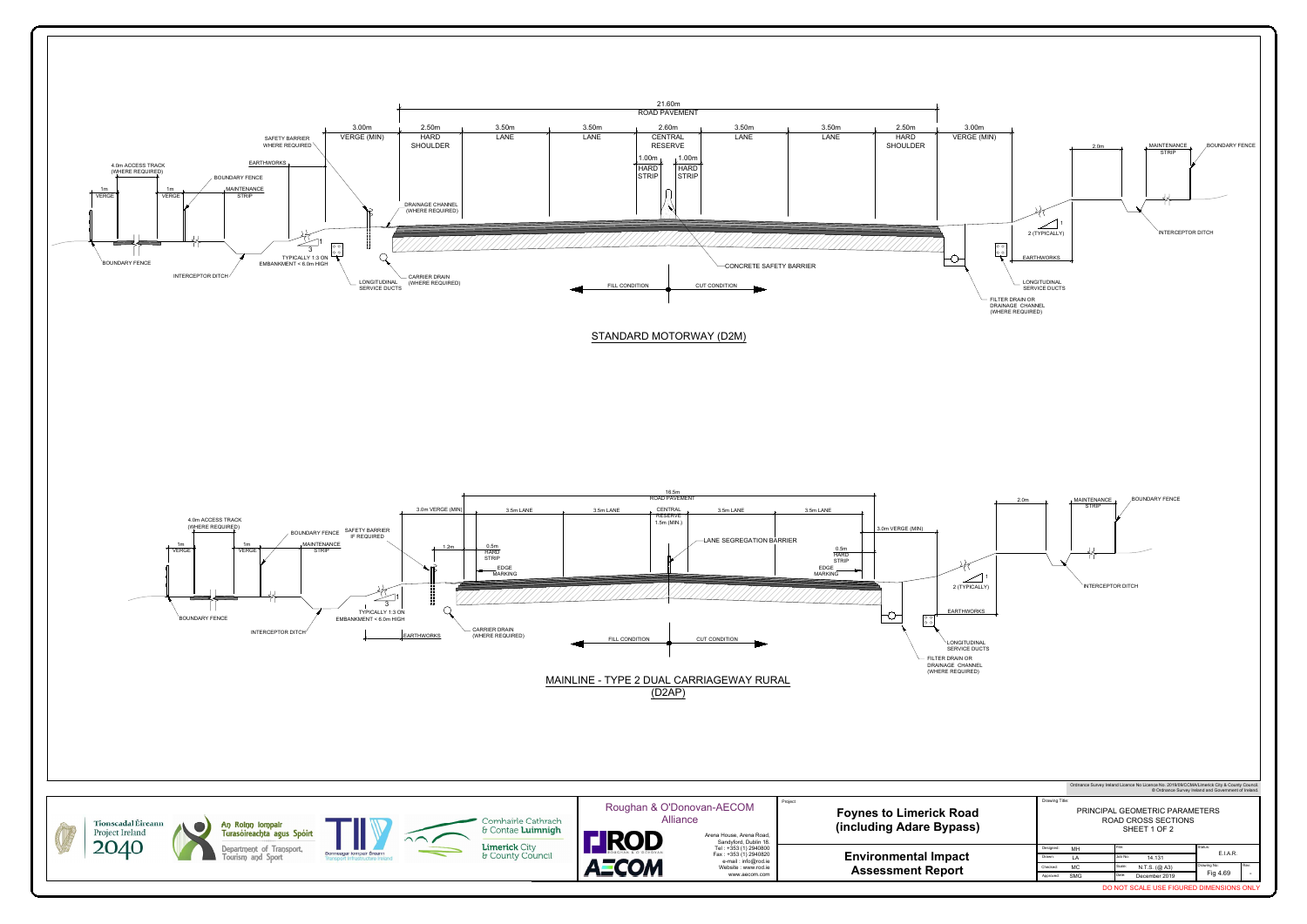